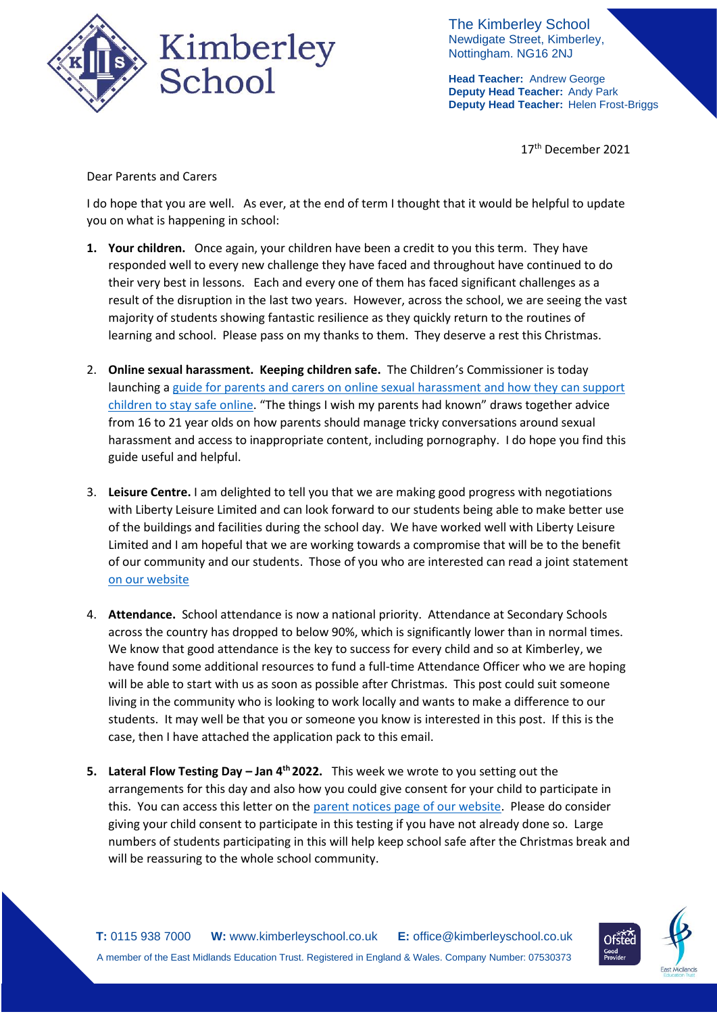

The Kimberley School Newdigate Street, Kimberley, Nottingham. NG16 2NJ

**Head Teacher:** Andrew George **Deputy Head Teacher:** Andy Park **Deputy Head Teacher:** Helen Frost-Briggs

17<sup>th</sup> December 2021

Dear Parents and Carers

I do hope that you are well. As ever, at the end of term I thought that it would be helpful to update you on what is happening in school:

- **1. Your children.** Once again, your children have been a credit to you this term. They have responded well to every new challenge they have faced and throughout have continued to do their very best in lessons. Each and every one of them has faced significant challenges as a result of the disruption in the last two years. However, across the school, we are seeing the vast majority of students showing fantastic resilience as they quickly return to the routines of learning and school. Please pass on my thanks to them. They deserve a rest this Christmas.
- 2. **Online sexual harassment. Keeping children safe.** The Children's Commissioner is today launching [a guide for parents and carers on online sexual harassment and how they can support](https://www.childrenscommissioner.gov.uk/report/talking-to-your-child-about-online-sexual-harassment-a-guide-for-parents/?utm_source=16%20December%202021%20C19&utm_medium=Daily%20Email%20C19&utm_campaign=DfE%20C19)  [children to stay safe online](https://www.childrenscommissioner.gov.uk/report/talking-to-your-child-about-online-sexual-harassment-a-guide-for-parents/?utm_source=16%20December%202021%20C19&utm_medium=Daily%20Email%20C19&utm_campaign=DfE%20C19). "The things I wish my parents had known" draws together advice from 16 to 21 year olds on how parents should manage tricky conversations around sexual harassment and access to inappropriate content, including pornography. I do hope you find this guide useful and helpful.
- 3. **Leisure Centre.** I am delighted to tell you that we are making good progress with negotiations with Liberty Leisure Limited and can look forward to our students being able to make better use of the buildings and facilities during the school day. We have worked well with Liberty Leisure Limited and I am hopeful that we are working towards a compromise that will be to the benefit of our community and our students. Those of you who are interested can read a joint statement [on our website](https://www.kimberleyschool.co.uk/klc)
- 4. **Attendance.** School attendance is now a national priority. Attendance at Secondary Schools across the country has dropped to below 90%, which is significantly lower than in normal times. We know that good attendance is the key to success for every child and so at Kimberley, we have found some additional resources to fund a full-time Attendance Officer who we are hoping will be able to start with us as soon as possible after Christmas. This post could suit someone living in the community who is looking to work locally and wants to make a difference to our students. It may well be that you or someone you know is interested in this post. If this is the case, then I have attached the application pack to this email.
- **5. Lateral Flow Testing Day – Jan 4th 2022.** This week we wrote to you setting out the arrangements for this day and also how you could give consent for your child to participate in this. You can access this letter on the [parent notices page of our website.](https://www.kimberleyschool.co.uk/_files/ugd/b2657a_ae862ec489a74a3493f89b18b2d54355.pdf) Please do consider giving your child consent to participate in this testing if you have not already done so. Large numbers of students participating in this will help keep school safe after the Christmas break and will be reassuring to the whole school community.